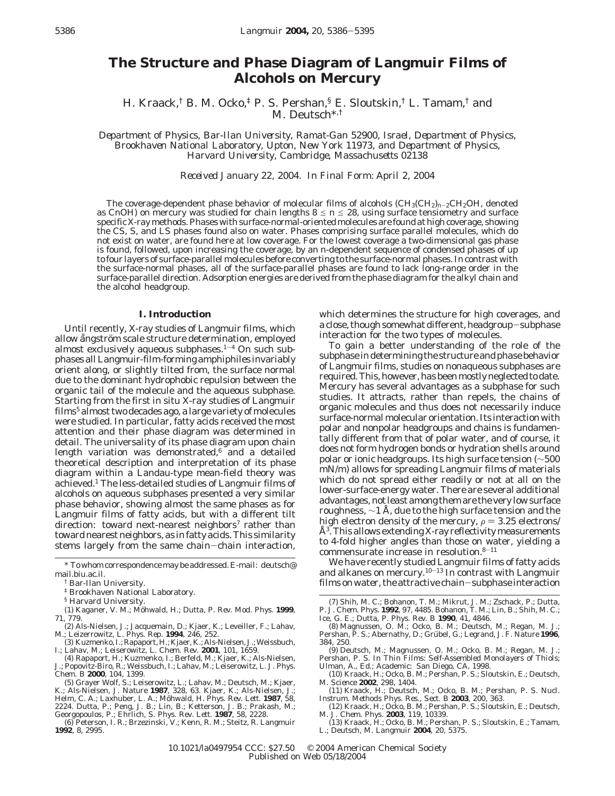# **The Structure and Phase Diagram of Langmuir Films of Alcohols on Mercury**

H. Kraack,<sup>†</sup> B. M. Ocko,<sup>‡</sup> P. S. Pershan,<sup>§</sup> E. Sloutskin,<sup>†</sup> L. Tamam,<sup>†</sup> and M. Deutsch\*,†

*Department of Physics, Bar-Ilan University, Ramat-Gan 52900, Israel, Department of Physics, Brookhaven National Laboratory, Upton, New York 11973, and Department of Physics, Harvard University, Cambridge, Massachusetts 02138*

*Received January 22, 2004. In Final Form: April 2, 2004*

The coverage-dependent phase behavior of molecular films of alcohols (CH3(CH2)*<sup>n</sup>*-2CH2OH, denoted as CnOH) on mercury was studied for chain lengths  $8 \le n \le 28$ , using surface tensiometry and surface specific X-ray methods. Phases with surface-normal-oriented molecules are found at high coverage, showing the CS, S, and LS phases found also on water. Phases comprising surface parallel molecules, which do not exist on water, are found here at low coverage. For the lowest coverage a two-dimensional gas phase is found, followed, upon increasing the coverage, by an *n*-dependent sequence of condensed phases of up to four layers of surface-parallel molecules before converting to the surface-normal phases. In contrast with the surface-normal phases, all of the surface-parallel phases are found to lack long-range order in the surface-parallel direction. Adsorption energies are derived from the phase diagram for the alkyl chain and the alcohol headgroup.

#### **I. Introduction**

Until recently, X-ray studies of Langmuir films, which allow ångström scale structure determination, employed almost exclusively aqueous subphases. $1-4$  On such subphases all Langmuir-film-forming amphiphiles invariably orient along, or slightly tilted from, the surface normal due to the dominant hydrophobic repulsion between the organic tail of the molecule and the aqueous subphase. Starting from the first in situ X-ray studies of Langmuir films<sup>5</sup> almost two decades ago, a large variety of molecules were studied. In particular, fatty acids received the most attention and their phase diagram was determined in detail. The universality of its phase diagram upon chain length variation was demonstrated, $6$  and a detailed theoretical description and interpretation of its phase diagram within a Landau-type mean-field theory was achieved.1 The less-detailed studies of Langmuir films of alcohols on aqueous subphases presented a very similar phase behavior, showing almost the same phases as for Langmuir films of fatty acids, but with a different tilt direction: toward next-nearest neighbors<sup>7</sup> rather than toward nearest neighbors, as in fatty acids. This similarity stems largely from the same chain-chain interaction,

\* To whom correspondence may be addressed. E-mail: deutsch@ mail.biu.ac.il.

§ Harvard University.

(1) Kaganer, V. M.; Möhwald, H.; Dutta, P. *Rev. Mod. Phys.* **1999**, *71*, 779.

- (2) Als-Nielsen, J.; Jacquemain, D.; Kjaer, K.; Leveiller, F.; Lahav, M.; Leizerrowitz, L. *Phys. Rep.* **1994**, *246*, 252.
- (3) Kuzmenko, I.; Rapaport, H.; Kjaer, K.; Als-Nielsen, J.; Weissbuch, I.; Lahav, M.; Leiserowitz, L. *Chem. Rev.* **2001**, *101*, 1659.
- (4) Rapaport, H.; Kuzmenko, I.; Berfeld, M.; Kjaer, K.; Als-Nielsen, J.; Popovitz-Biro, R.; Weissbuch, I.; Lahav, M.; Leiserowitz, L. *J. Phys. Chem. B* **2000**, *104*, 1399.
- (5) Grayer Wolf, S.; Leiserowitz, L.; Lahav, M.; Deutsch, M.; Kjaer, K.; Als-Nielsen, J. *Nature* **1987**, *328*, 63. Kjaer, K.; Als-Nielsen, J.; Helm, C. A.; Laxhuber, L. A.; Möhwald, H. *Phys. Rev. Lett.* **1987**, *58*, 2224. Dutta, P.; Peng, J. B.; Lin, B.; Ketterson, J. B.; Prakash, M.; Georgopoulos, P.; Ehrlich, S. *Phys. Rev. Lett.* **1987**, *58*, 2228.

(6) Peterson, I. R.; Brzezinski, V.; Kenn, R. M.; Steitz, R. *Langmuir* **1992**, *8*, 2995.

which determines the structure for high coverages, and a close, though somewhat different, headgroup-subphase interaction for the two types of molecules.

To gain a better understanding of the role of the subphase in determining the structure and phase behavior of Langmuir films, studies on nonaqueous subphases are required. This, however, has been mostly neglected to date. Mercury has several advantages as a subphase for such studies. It attracts, rather than repels, the chains of organic molecules and thus does not necessarily induce surface-normal molecular orientation. Its interaction with polar and nonpolar headgroups and chains is fundamentally different from that of polar water, and of course, it does not form hydrogen bonds or hydration shells around polar or ionic headgroups. Its high surface tension (∼500 mN/m) allows for spreading Langmuir films of materials which do not spread either readily or not at all on the lower-surface-energy water. There are several additional advantages, not least among them are the very low surface roughness, ∼1 Å, due to the high surface tension and the high electron density of the mercury,  $\rho = 3.25$  electrons/  $\AA^3$ . This allows extending X-ray reflectivity measurements to 4-fold higher angles than those on water, yielding a commensurate increase in resolution.8-<sup>11</sup>

We have recently studied Langmuir films of fatty acids and alkanes on mercury.<sup>10-13</sup> In contrast with Langmuir films on water, the attractive chain-subphase interaction

(7) Shih, M. C.; Bohanon, T. M.; Mikrut, J. M.; Zschack, P.; Dutta, P. *J. Chem. Phys.* **1992**, *97*, 4485. Bohanon, T. M.; Lin, B.; Shih, M. C.;

(9) Deutsch, M.; Magnussen, O. M.; Ocko, B. M.; Regan, M. J.; Pershan, P. S. In *Thin Films*: *Self-Assembled Monolayers of Thiols*; Ulman, A., Ed.; Academic: San Diego, CA, 1998. (10) Kraack, H.; Ocko, B. M.; Pershan, P. S.; Sloutskin, E.; Deutsch,

M. *Science* **2002**, *298*, 1404.

(11) Kraack, H.; Deutsch, M.; Ocko, B. M.; Pershan, P. S. *Nucl. Instrum. Methods Phys. Res., Sect. B* **2003**, *200*, 363.

(12) Kraack, H.; Ocko, B. M.; Pershan, P. S.; Sloutskin, E.; Deutsch, M. *J. Chem. Phys.* **2003**, *119*, 10339.

(13) Kraack, H.; Ocko, B. M.; Pershan, P. S.; Sloutskin, E.; Tamam, L.; Deutsch, M. *Langmuir* **2004**, *20*, 5375.

<sup>†</sup> Bar-Ilan University.

<sup>‡</sup> Brookhaven National Laboratory.

Ice, G. E.; Dutta, P. *Phys. Rev. B* **1990**, *41*, 4846. (8) Magnussen, O. M.; Ocko, B. M.; Deutsch, M.; Regan, M. J.; Pershan, P. S.; Abernathy, D.; Grübel, G.; Legrand, J. F. *Nature* 1996, *384*, 250.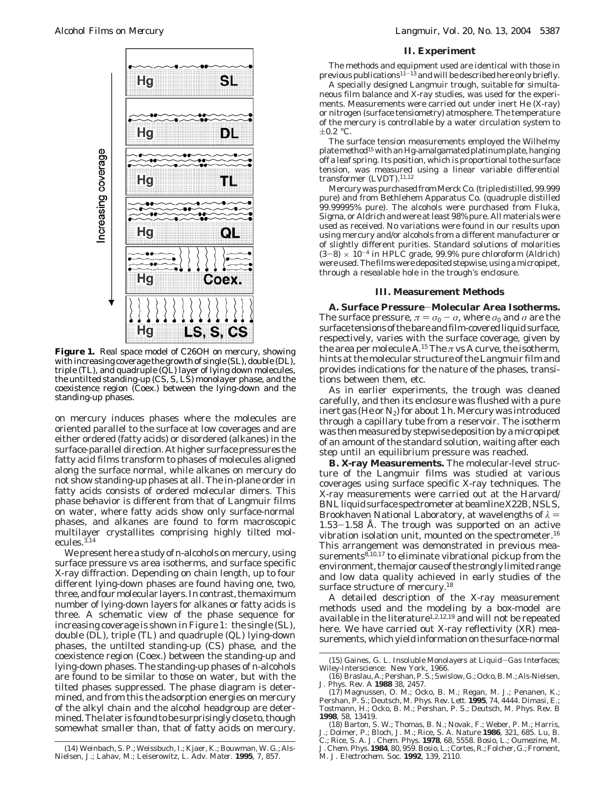

**Figure 1.** Real space model of C26OH on mercury, showing with increasing coverage the growth of single (SL), double (DL), triple (TL), and quadruple (QL) layer of lying down molecules, the untilted standing-up (CS, S, LS) monolayer phase, and the coexistence region (Coex.) between the lying-down and the standing-up phases.

on mercury induces phases where the molecules are oriented parallel to the surface at low coverages and are either ordered (fatty acids) or disordered (alkanes) in the surface-parallel direction. At higher surface pressures the fatty acid films transform to phases of molecules aligned along the surface normal, while alkanes on mercury do not show standing-up phases at all. The in-plane order in fatty acids consists of ordered molecular dimers. This phase behavior is different from that of Langmuir films on water, where fatty acids show only surface-normal phases, and alkanes are found to form macroscopic multilayer crystallites comprising highly tilted molecules.<sup>3,14</sup>

We present here a study of *n*-alcohols on mercury, using surface pressure vs area isotherms, and surface specific X-ray diffraction. Depending on chain length, up to four different lying-down phases are found having one, two, three, and four molecular layers. In contrast, the maximum number of lying-down layers for alkanes or fatty acids is three. A schematic view of the phase sequence for increasing coverage is shown in Figure 1: the single (SL), double (DL), triple (TL) and quadruple (QL) lying-down phases, the untilted standing-up (CS) phase, and the coexistence region (Coex.) between the standing-up and lying-down phases. The standing-up phases of *n*-alcohols are found to be similar to those on water, but with the tilted phases suppressed. The phase diagram is determined, and from this the adsorption energies on mercury of the alkyl chain and the alcohol headgroup are determined. The later is found to be surprisingly close to, though somewhat smaller than, that of fatty acids on mercury.

#### **II. Experiment**

The methods and equipment used are identical with those in previous publications<sup>11-13</sup> and will be described here only briefly.

A specially designed Langmuir trough, suitable for simultaneous film balance and X-ray studies, was used for the experiments. Measurements were carried out under inert He (X-ray) or nitrogen (surface tensiometry) atmosphere. The temperature of the mercury is controllable by a water circulation system to  $\pm 0.2$  °C.

The surface tension measurements employed the Wilhelmy plate method15with an Hg-amalgamated platinum plate, hanging off a leaf spring. Its position, which is proportional to the surface tension, was measured using a linear variable differential transformer (LVDT).11,12

Mercury was purchased from Merck Co. (triple distilled, 99.999 pure) and from Bethlehem Apparatus Co. (quadruple distilled 99.99995% pure). The alcohols were purchased from Fluka, Sigma, or Aldrich and were at least 98% pure. All materials were used as received. No variations were found in our results upon using mercury and/or alcohols from a different manufacturer or of slightly different purities. Standard solutions of molarities  $(3-8) \times 10^{-4}$  in HPLC grade, 99.9% pure chloroform (Aldrich) were used. The films were deposited stepwise, using a micropipet, through a resealable hole in the trough's enclosure.

### **III. Measurement Methods**

**A. Surface Pressure**-**Molecular Area Isotherms.** The surface pressure,  $\pi = \sigma_0 - \sigma$ , where  $\sigma_0$  and  $\sigma$  are the surface tensions of the bare and film-covered liquid surface, respectively, varies with the surface coverage, given by the area per molecule  $A^{15}$  The  $\pi$  vs  $A$  curve, the isotherm, hints at the molecular structure of the Langmuir film and provides indications for the nature of the phases, transitions between them, etc.

As in earlier experiments, the trough was cleaned carefully, and then its enclosure was flushed with a pure inert gas (He or  $N_2$ ) for about 1 h. Mercury was introduced through a capillary tube from a reservoir. The isotherm was then measured by stepwise deposition by a micropipet of an amount of the standard solution, waiting after each step until an equilibrium pressure was reached.

**B. X-ray Measurements.** The molecular-level structure of the Langmuir films was studied at various coverages using surface specific X-ray techniques. The X-ray measurements were carried out at the Harvard/ BNL liquid surface spectrometer at beamline X22B, NSLS, Brookhaven National Laboratory, at wavelengths of  $\lambda =$ 1.53-1.58 Å. The trough was supported on an active vibration isolation unit, mounted on the spectrometer.16 This arrangement was demonstrated in previous measurements<sup>8,10,17</sup> to eliminate vibrational pickup from the environment, the major cause of the strongly limited range and low data quality achieved in early studies of the surface structure of mercury.18

A detailed description of the X-ray measurement methods used and the modeling by a box-model are available in the literature<sup>1,2,12,19</sup> and will not be repeated here. We have carried out X-ray reflectivity (XR) measurements, which yield information on the surface-normal

<sup>(14)</sup> Weinbach, S. P.; Weissbuch, I.; Kjaer, K.; Bouwman, W. G.; Als-Nielsen, J.; Lahav, M.; Leiserowitz, L. *Adv. Mater.* **1995**, *7*, 857.

<sup>(15)</sup> Gaines, G. L. *Insoluble Monolayers at Liquid*-*Gas Interfaces*; Wiley-Interscience: New York, 1966.

<sup>(16)</sup> Braslau, A.; Pershan, P. S.; Swislow, G.; Ocko, B. M.; Als-Nielsen, J. *Phys. Rev. A* **1988** *38*, 2457.

<sup>(17)</sup> Magnussen, O. M.; Ocko, B. M.; Regan, M. J.; Penanen, K.; Pershan, P. S.; Deutsch, M. *Phys. Rev. Lett.* **1995**, *74*, 4444. Dimasi, E.; Tostmann, H.; Ocko, B. M.; Pershan, P. S.; Deutsch, M. *Phys. Rev. B* **1998**, *58*, 13419.

<sup>(18)</sup> Barton, S. W.; Thomas, B. N.; Novak, F.; Weber, P. M.; Harris, J.; Dolmer, P.; Bloch, J. M.; Rice, S. A. *Nature* **1986**, *321*, 685. Lu, B. C.; Rice, S. A. *J. Chem. Phys.* **1978**, *68*, 5558. Bosio, L.; Oumezine, M.

*J. Chem. Phys.* **1984**, *80*, 959. Bosio, L.; Cortes, R.; Folcher, G.; Froment, M. *J. Electrochem. Soc.* **1992**, *139*, 2110.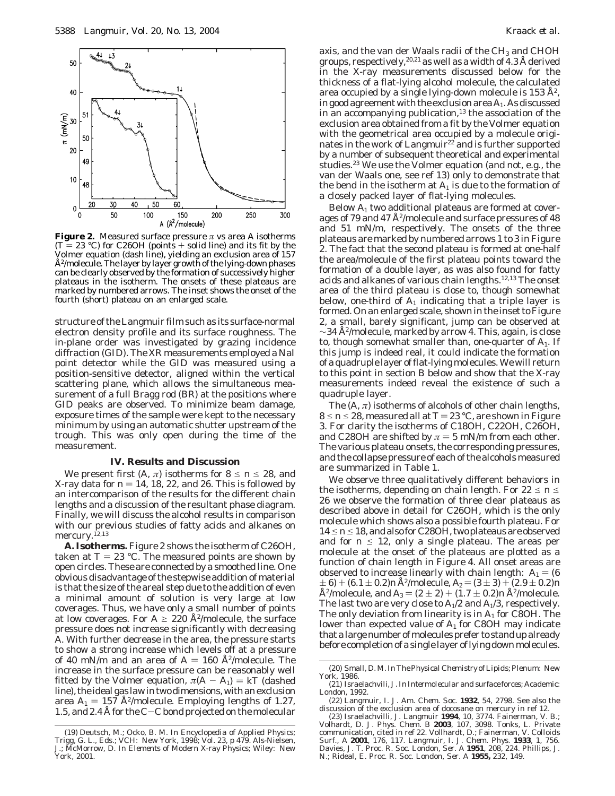

**Figure 2.** Measured surface pressure *π* vs area *A* isotherms  $(T = 23 \text{ °C})$  for C26OH (points  $+$  solid line) and its fit by the Volmer equation (dash line), yielding an exclusion area of 157 Å2/molecule. The layer by layer growth of the lying-down phases can be clearly observed by the formation of successively higher plateaus in the isotherm. The onsets of these plateaus are marked by numbered arrows. The inset shows the onset of the fourth (short) plateau on an enlarged scale.

structure of the Langmuir film such as its surface-normal electron density profile and its surface roughness. The in-plane order was investigated by grazing incidence diffraction (GID). The XR measurements employed a NaI point detector while the GID was measured using a position-sensitive detector, aligned within the vertical scattering plane, which allows the simultaneous measurement of a full Bragg rod (BR) at the positions where GID peaks are observed. To minimize beam damage, exposure times of the sample were kept to the necessary minimum by using an automatic shutter upstream of the trough. This was only open during the time of the measurement.

## **IV. Results and Discussion**

We present first  $(A, \pi)$  isotherms for  $8 \le n \le 28$ , and X-ray data for  $n = 14$ , 18, 22, and 26. This is followed by an intercomparison of the results for the different chain lengths and a discussion of the resultant phase diagram. Finally, we will discuss the alcohol results in comparison with our previous studies of fatty acids and alkanes on mercury.<sup>12,13</sup>

**A. Isotherms.** Figure 2 shows the isotherm of C26OH, taken at  $T = 23$  °C. The measured points are shown by open circles. These are connected by a smoothed line. One obvious disadvantage of the stepwise addition of material is that the size of the areal step due to the addition of even a minimal amount of solution is very large at low coverages. Thus, we have only a small number of points at low coverages. For  $A \geq 220$  Å<sup>2</sup>/molecule, the surface pressure does not increase significantly with decreasing *A*. With further decrease in the area, the pressure starts to show a strong increase which levels off at a pressure of 40 mN/m and an area of  $A = 160$  Å<sup>2</sup>/molecule. The increase in the surface pressure can be reasonably well fitted by the Volmer equation,  $\pi(A - A_1) = kT$  (dashed line), the ideal gas law in two dimensions, with an exclusion area  $A_1 = 157 \text{ Å}^2/\text{molecule}$ . Employing lengths of 1.27, 1.5, and 2.4 Å for the C $-C$  bond projected on the molecular

axis, and the van der Waals radii of the  $CH<sub>3</sub>$  and CHOH groups, respectively,20,21 as well as a width of 4.3 Å derived in the X-ray measurements discussed below for the thickness of a flat-lying alcohol molecule, the calculated area occupied by a single lying-down molecule is  $153 \text{ Å}^2$ , in good agreement with the exclusion area *A*1. As discussed in an accompanying publication,  $13$  the association of the exclusion area obtained from a fit by the Volmer equation with the geometrical area occupied by a molecule originates in the work of Langmuir<sup>22</sup> and is further supported by a number of subsequent theoretical and experimental studies.23 We use the Volmer equation (and not, e.g., the van der Waals one, see ref 13) only to demonstrate that the bend in the isotherm at  $A_1$  is due to the formation of a closely packed layer of flat-lying molecules.

Below  $A_1$  two additional plateaus are formed at coverages of 79 and 47  $\AA^2$ /molecule and surface pressures of 48 and 51 mN/m, respectively. The onsets of the three plateaus are marked by numbered arrows 1 to 3 in Figure 2. The fact that the second plateau is formed at one-half the area/molecule of the first plateau points toward the formation of a double layer, as was also found for fatty acids and alkanes of various chain lengths.12,13 The onset area of the third plateau is close to, though somewhat below, one-third of  $A_1$  indicating that a triple layer is formed. On an enlarged scale, shown in the inset to Figure 2, a small, barely significant, jump can be observed at ∼34 Å2/molecule, marked by arrow 4. This, again, is close to, though somewhat smaller than, one-quarter of *A*1. If this jump is indeed real, it could indicate the formation of a quadruple layer of flat-lying molecules. We will return to this point in section B below and show that the X-ray measurements indeed reveal the existence of such a quadruple layer.

The  $(A, \pi)$  isotherms of alcohols of other chain lengths,  $8 \le n \le 28$ , measured all at  $T = 23$  °C, are shown in Figure 3. For clarity the isotherms of C18OH, C22OH, C26OH, and C28OH are shifted by  $\pi = 5$  mN/m from each other. The various plateau onsets, the corresponding pressures, and the collapse pressure of each of the alcohols measured are summarized in Table 1.

We observe three qualitatively different behaviors in the isotherms, depending on chain length. For  $22 \le n \le$ 26 we observe the formation of three clear plateaus as described above in detail for C26OH, which is the only molecule which shows also a possible fourth plateau. For  $14 \le n \le 18$ , and also for C28OH, two plateaus are observed and for  $n \leq 12$ , only a single plateau. The areas per molecule at the onset of the plateaus are plotted as a function of chain length in Figure 4. All onset areas are observed to increase linearly with chain length:  $A_1 = (6$  $(2.6 + 6) + (6.1 \pm 0.2)n\AA^2$ /molecule,  $A_2 = (3 \pm 3) + (2.9 \pm 0.2)n$ A<sup>2</sup>/molecule, and  $A_3 = (2 \pm 2) + (1.7 \pm 0.2)n$  A<sup>2</sup>/molecule. The last two are very close to  $A_1/2$  and  $A_1/3$ , respectively. The only deviation from linearity is in *A*<sup>1</sup> for C8OH. The lower than expected value of  $A_1$  for C8OH may indicate that a large number of molecules prefer to stand up already before completion of a single layer of lying down molecules.

<sup>(19)</sup> Deutsch, M.; Ocko, B. M. In *Encyclopedia of Applied Physics*; Trigg, G. L., Eds.; VCH: New York, 1998; Vol. 23, p 479. Als-Nielsen, J.; McMorrow, D. In *Elements of Modern X-ray Physics*; Wiley: New York, 2001.

<sup>(20)</sup> Small, D. M. In *The Physical Chemistry of Lipids*; Plenum: New York, 1986.

<sup>(21)</sup> Israelachvili, J. In *Intermolecular and surface forces*; Academic: London, 1992.

<sup>(22)</sup> Langmuir, I. *J. Am. Chem. Soc.* **1932**, *54*, 2798. See also the discussion of the exclusion area of docosane on mercury in ref 12.

<sup>(23)</sup> Israelachvilli, J. *Langmuir* **1994**, *10*, 3774. Fainerman, V. B.; Volhardt, D. *J*. *Phys. Chem. B* **2003**, *107*, 3098. Tonks, L. Private communication, cited in ref 22. Vollhardt, D.; Fainerman, V. *Colloids Surf.*, *A* **2001**, *176*, 117. Langmuir, I. *J. Chem. Phys.* **1933**, *1*, 756. Davies, J. T. *Proc. R. Soc. London, Ser. A* **1951**, *208*, 224. Phillips, J. N.; Rideal, E. *Proc. R. Soc. London, Ser. A* **1955,** *232*, 149.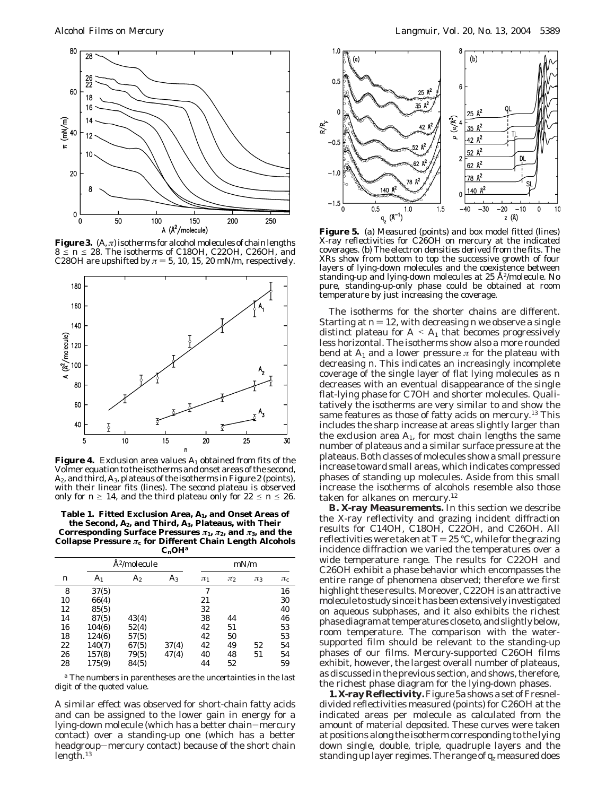

**Figure 3.**  $(A, \pi)$  isotherms for alcohol molecules of chain lengths  $8 \le n \le 28$ . The isotherms of C18OH, C22OH, C26OH, and C28OH are upshifted by  $\pi = 5$ , 10, 15, 20 mN/m, respectively.



**Figure 4.** Exclusion area values  $A_1$  obtained from fits of the Volmer equation to the isotherms and onset areas of the second, *A*2, and third, *A*3, plateaus of the isotherms in Figure 2 (points), with their linear fits (lines). The second plateau is observed only for  $n \ge 14$ , and the third plateau only for  $22 \le n \le 26$ .

**Table 1. Fitted Exclusion Area,** *A***1, and Onset Areas of the Second,** *A***2, and Third,** *A***3, Plateaus, with Their** Corresponding Surface Pressures  $\pi_1$ ,  $\pi_2$ , and  $\pi_3$ , and the **Collapse Pressure** *π***<sup>c</sup> for Different Chain Length Alcohols**  $C_n$ OH<sub>*a*</sub>

|    | Ų/molecule     |       |       | mN/m    |         |         |                    |
|----|----------------|-------|-------|---------|---------|---------|--------------------|
| n  | A <sub>1</sub> | $A_2$ | $A_3$ | $\pi_1$ | $\pi_2$ | $\pi_3$ | $\pi_{\mathrm{c}}$ |
| 8  | 37(5)          |       |       | 7       |         |         | 16                 |
| 10 | 66(4)          |       |       | 21      |         |         | 30                 |
| 12 | 85(5)          |       |       | 32      |         |         | 40                 |
| 14 | 87(5)          | 43(4) |       | 38      | 44      |         | 46                 |
| 16 | 104(6)         | 52(4) |       | 42      | 51      |         | 53                 |
| 18 | 124(6)         | 57(5) |       | 42      | 50      |         | 53                 |
| 22 | 140(7)         | 67(5) | 37(4) | 42      | 49      | 52      | 54                 |
| 26 | 157(8)         | 79(5) | 47(4) | 40      | 48      | 51      | 54                 |
| 28 | 175(9)         | 84(5) |       | 44      | 52      |         | 59                 |

*<sup>a</sup>* The numbers in parentheses are the uncertainties in the last digit of the quoted value.

A similar effect was observed for short-chain fatty acids and can be assigned to the lower gain in energy for a lying-down molecule (which has a better chain-mercury contact) over a standing-up one (which has a better headgroup-mercury contact) because of the short chain length. $13$ 



**Figure 5.** (a) Measured (points) and box model fitted (lines) X-ray reflectivities for C26OH on mercury at the indicated coverages. (b) The electron densities derived from the fits. The XRs show from bottom to top the successive growth of four layers of lying-down molecules and the coexistence between standing-up and lying-down molecules at  $25 \text{ Å}^2/\text{molecule}$ . No pure, standing-up-only phase could be obtained at room temperature by just increasing the coverage.

The isotherms for the shorter chains are different. Starting at  $n = 12$ , with decreasing *n* we observe a single distinct plateau for  $A \leq A_1$  that becomes progressively less horizontal. The isotherms show also a more rounded bend at  $A_1$  and a lower pressure  $\pi$  for the plateau with decreasing *n*. This indicates an increasingly incomplete coverage of the single layer of flat lying molecules as *n* decreases with an eventual disappearance of the single flat-lying phase for C7OH and shorter molecules. Qualitatively the isotherms are very similar to and show the same features as those of fatty acids on mercury.<sup>13</sup> This includes the sharp increase at areas slightly larger than the exclusion area  $A_1$ , for most chain lengths the same number of plateaus and a similar surface pressure at the plateaus. Both classes of molecules show a small pressure increase toward small areas, which indicates compressed phases of standing up molecules. Aside from this small increase the isotherms of alcohols resemble also those taken for alkanes on mercury.<sup>12</sup>

**B. X-ray Measurements.** In this section we describe the X-ray reflectivity and grazing incident diffraction results for C14OH, C18OH, C22OH, and C26OH. All reflectivities were taken at*T*)25 °C, while for the grazing incidence diffraction we varied the temperatures over a wide temperature range. The results for C22OH and C26OH exhibit a phase behavior which encompasses the entire range of phenomena observed; therefore we first highlight these results. Moreover, C22OH is an attractive molecule to study since it has been extensively investigated on aqueous subphases, and it also exhibits the richest phasediagramattemperaturescloseto,andslightlybelow, room temperature. The comparison with the watersupported film should be relevant to the standing-up phases of our films. Mercury-supported C26OH films exhibit, however, the largest overall number of plateaus, as discussed in the previous section, and shows, therefore, the richest phase diagram for the lying-down phases.

**1. X-ray Reflectivity.**Figure 5a shows a set of Fresneldivided reflectivities measured (points) for C26OH at the indicated areas per molecule as calculated from the amount of material deposited. These curves were taken at positions along the isotherm corresponding to the lying down single, double, triple, quadruple layers and the standing up layer regimes. The range of *qz* measured does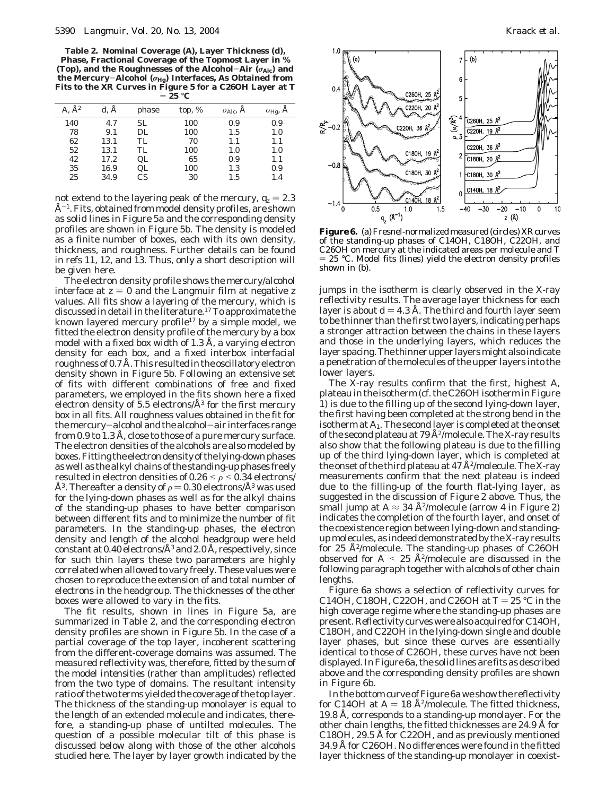**Table 2. Nominal Coverage (***A***), Layer Thickness (***d***), Phase, Fractional Coverage of the Topmost Layer in % (Top), and the Roughnesses of the Alcohol**-**Air (***σ***Alc) and the Mercury**-**Alcohol (***σ***Hg) Interfaces, As Obtained from Fits to the XR Curves in Figure 5 for a C26OH Layer at** *T*  $=$ **25** °**C** 

| A. A <sup>2</sup> | d. A | phase | top, $%$ | $\sigma_{\text{Alc}}$ , A | $\sigma_{\text{Hg}}$ , A |
|-------------------|------|-------|----------|---------------------------|--------------------------|
| 140               | 4.7  | SL    | 100      | 0.9                       | 0.9                      |
| 78                | 9.1  | DL.   | 100      | 1.5                       | 1.0                      |
| 62                | 13.1 | TL    | 70       | 1.1                       | 1.1                      |
| 52                | 13.1 | TL    | 100      | 1.0                       | 1.0                      |
| 42                | 17.2 | QL    | 65       | 0.9                       | 1.1                      |
| 35                | 16.9 | QL    | 100      | $1.3\,$                   | 0.9                      |
| 25                | 34.9 | CS    | 30       | $1.5\,$                   | 1.4                      |

not extend to the layering peak of the mercury,  $q_z = 2.3$  $A^{-1}$ . Fits, obtained from model density profiles, are shown as solid lines in Figure 5a and the corresponding density profiles are shown in Figure 5b. The density is modeled as a finite number of boxes, each with its own density, thickness, and roughness. Further details can be found in refs 11, 12, and 13. Thus, only a short description will be given here.

The electron density profile shows the mercury/alcohol interface at  $z = 0$  and the Langmuir film at negative  $z$ values. All fits show a layering of the mercury, which is discussed in detail in the literature.<sup>17</sup> To approximate the known layered mercury profile<sup>17</sup> by a simple model, we fitted the electron density profile of the mercury by a box model with a fixed box width of 1.3 Å, a varying electron density for each box, and a fixed interbox interfacial roughness of 0.7 Å. This resulted in the oscillatory electron density shown in Figure 5b. Following an extensive set of fits with different combinations of free and fixed parameters, we employed in the fits shown here a fixed electron density of 5.5 electrons/ $A<sup>3</sup>$  for the first mercury box in all fits. All roughness values obtained in the fit for the mercury-alcohol and the alcohol-air interfaces range from 0.9 to 1.3 Å, close to those of a pure mercury surface. The electron densities of the alcohols are also modeled by boxes. Fitting the electron density of the lying-down phases as well as the alkyl chains of the standing-up phases freely resulted in electron densities of  $0.26 \le \rho \le 0.34$  electrons/ Å<sup>3</sup>. Thereafter a density of  $\rho = 0.30$  electrons/Å<sup>3</sup> was used for the lying-down phases as well as for the alkyl chains of the standing-up phases to have better comparison between different fits and to minimize the number of fit parameters. In the standing-up phases, the electron density and length of the alcohol headgroup were held constant at 0.40 electrons/Å3 and 2.0 Å, respectively, since for such thin layers these two parameters are highly correlated when allowed to vary freely. These values were chosen to reproduce the extension of and total number of electrons in the headgroup. The thicknesses of the other boxes were allowed to vary in the fits.

The fit results, shown in lines in Figure 5a, are summarized in Table 2, and the corresponding electron density profiles are shown in Figure 5b. In the case of a partial coverage of the top layer, incoherent scattering from the different-coverage domains was assumed. The measured reflectivity was, therefore, fitted by the sum of the model *intensities* (rather than amplitudes) reflected from the two type of domains. The resultant intensity ratio of the two terms yielded the coverage of the top layer. The thickness of the standing-up monolayer is equal to the length of an extended molecule and indicates, therefore, a standing-up phase of untilted molecules. The question of a possible molecular tilt of this phase is discussed below along with those of the other alcohols studied here. The layer by layer growth indicated by the



**Figure 6.** (a) Fresnel-normalized measured (circles) XR curves of the standing-up phases of C14OH, C18OH, C22OH, and C26OH on mercury at the indicated areas per molecule and *T*  $= 25$  °C. Model fits (lines) yield the electron density profiles shown in (b).

jumps in the isotherm is clearly observed in the X-ray reflectivity results. The average layer thickness for each layer is about  $d = 4.3$  Å. The third and fourth layer seem to be thinner than the first two layers, indicating perhaps a stronger attraction between the chains in these layers and those in the underlying layers, which reduces the layer spacing. The thinner upper layers might also indicate a penetration of the molecules of the upper layers into the lower layers.

The X-ray results confirm that the first, highest *A*, plateau in the isotherm (cf. the C26OH isotherm in Figure 1) is due to the filling up of the second lying-down layer, the first having been completed at the strong bend in the isotherm at  $A_1$ . The second layer is completed at the onset of the second plateau at 79 Å<sup>2</sup>/molecule. The X-ray results also show that the following plateau is due to the filling up of the third lying-down layer, which is completed at the onset of the third plateau at  $47 \mathrm{\AA}^2$ /molecule. The X-ray measurements confirm that the next plateau is indeed due to the filling-up of the fourth flat-lying layer, as suggested in the discussion of Figure 2 above. Thus, the small jump at  $A \approx 34 \text{ Å}^2/\text{molecule}$  (arrow 4 in Figure 2) indicates the completion of the fourth layer, and onset of the coexistence region between lying-down and standingup molecules, as indeed demonstrated by the X-ray results for 25 Å<sup>2</sup>/molecule. The standing-up phases of C26OH observed for  $A \leq 25$  Å<sup>2</sup>/molecule are discussed in the following paragraph together with alcohols of other chain lengths.

Figure 6a shows a selection of reflectivity curves for C14OH, C18OH, C22OH, and C26OH at  $T = 25$  °C in the high coverage regime where the standing-up phases are present. Reflectivity curves were also acquired for C14OH, C18OH, and C22OH in the lying-down single and double layer phases, but since these curves are essentially identical to those of C26OH, these curves have not been displayed. In Figure 6a, the solid lines are fits as described above and the corresponding density profiles are shown in Figure 6b.

In the bottom curve of Figure 6a we show the reflectivity for C14OH at  $A = 18$  Å<sup>2</sup>/molecule. The fitted thickness, 19.8 Å, corresponds to a standing-up monolayer. For the other chain lengths, the fitted thicknesses are 24.9 Å for C18OH, 29.5 Å for C22OH, and as previously mentioned 34.9 Å for C26OH. No differences were found in the fitted layer thickness of the standing-up monolayer in coexist-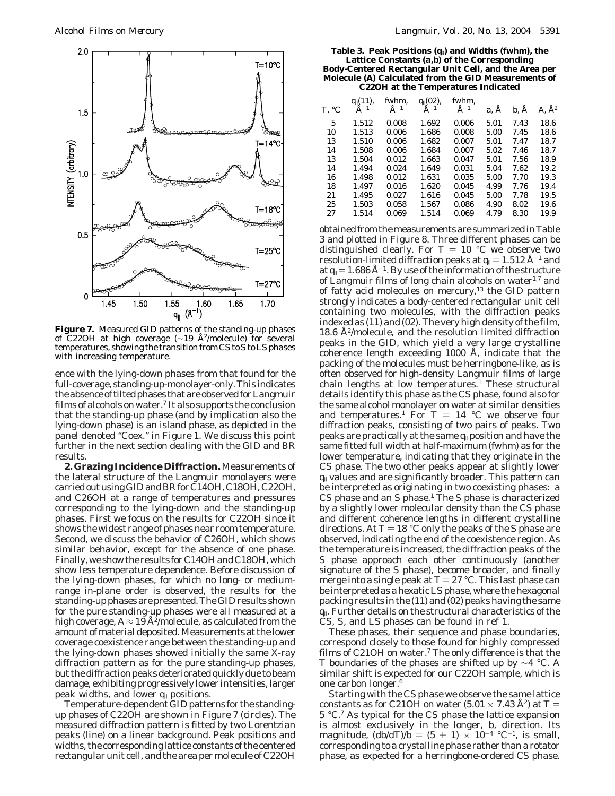

**Figure 7.** Measured GID patterns of the standing-up phases of C22OH at high coverage (∼19 Å2/molecule) for several temperatures, showing the transition from CS to S to LS phases with increasing temperature.

ence with the lying-down phases from that found for the full-coverage, standing-up-monolayer-only. This indicates the absence of tilted phases that are observed for Langmuir films of alcohols on water.7 It also supports the conclusion that the standing-up phase (and by implication also the lying-down phase) is an island phase, as depicted in the panel denoted "Coex." in Figure 1. We discuss this point further in the next section dealing with the GID and BR results.

**2. Grazing Incidence Diffraction.** Measurements of the lateral structure of the Langmuir monolayers were carried out using GID and BR for C14OH, C18OH, C22OH, and C26OH at a range of temperatures and pressures corresponding to the lying-down and the standing-up phases. First we focus on the results for C22OH since it shows the widest range of phases near room temperature. Second, we discuss the behavior of C26OH, which shows similar behavior, except for the absence of one phase. Finally, we show the results for C14OH and C18OH, which show less temperature dependence. Before discussion of the lying-down phases, for which no long- or mediumrange in-plane order is observed, the results for the standing-up phases are presented. The GID results shown for the pure standing-up phases were all measured at a high coverage,  $A \approx 19 \text{ Å}^2/\text{molecule}$ , as calculated from the amount of material deposited. Measurements at the lower coverage coexistence range between the standing-up and the lying-down phases showed initially the same X-ray diffraction pattern as for the pure standing-up phases, but the diffraction peaks deteriorated quickly due to beam damage, exhibiting progressively lower intensities, larger peak widths, and lower  $q_{\parallel}$  positions.

Temperature-dependent GID patterns for the standingup phases of C22OH are shown in Figure 7 (circles). The measured diffraction pattern is fitted by two Lorentzian peaks (line) on a linear background. Peak positions and widths, the corresponding lattice constants of the centered rectangular unit cell, and the area per molecule of C22OH

**Table 3. Peak Positions (***q*|**) and Widths (fwhm), the Lattice Constants (***a***,***b***) of the Corresponding Body-Centered Rectangular Unit Cell, and the Area per Molecule (***A***) Calculated from the GID Measurements of C22OH at the Temperatures Indicated**

| T <sup>°</sup> C | $q_{\parallel}(11),$<br>$\mathbf{\tilde{\Delta}}$ – 1 | fwhm,<br>$\mathring{\mathbf{\Delta}}$ -1 | $q_1(02)$ ,<br>$\mathring{\mathbf{A}}$ – 1 | fwhm,<br>$\AA^{-1}$ | a, A | b. A | $A, \mathring{A}^2$ |
|------------------|-------------------------------------------------------|------------------------------------------|--------------------------------------------|---------------------|------|------|---------------------|
| 5                | 1.512                                                 | 0.008                                    | 1.692                                      | 0.006               | 5.01 | 7.43 | 18.6                |
| 10               | 1.513                                                 | 0.006                                    | 1.686                                      | 0.008               | 5.00 | 7.45 | 18.6                |
| 13               | 1.510                                                 | 0.006                                    | 1.682                                      | 0.007               | 5.01 | 7.47 | 18.7                |
| 14               | 1.508                                                 | 0.006                                    | 1.684                                      | 0.007               | 5.02 | 7.46 | 18.7                |
| 13               | 1.504                                                 | 0.012                                    | 1.663                                      | 0.047               | 5.01 | 7.56 | 18.9                |
| 14               | 1.494                                                 | 0.024                                    | 1.649                                      | 0.031               | 5.04 | 7.62 | 19.2                |
| 16               | 1.498                                                 | 0.012                                    | 1.631                                      | 0.035               | 5.00 | 7.70 | 19.3                |
| 18               | 1.497                                                 | 0.016                                    | 1.620                                      | 0.045               | 4.99 | 7.76 | 19.4                |
| 21               | 1.495                                                 | 0.027                                    | 1.616                                      | 0.045               | 5.00 | 7.78 | 19.5                |
| 25               | 1.503                                                 | 0.058                                    | 1.567                                      | 0.086               | 4.90 | 8.02 | 19.6                |
| 27               | 1.514                                                 | 0.069                                    | 1.514                                      | 0.069               | 4.79 | 8.30 | 19.9                |
|                  |                                                       |                                          |                                            |                     |      |      |                     |

obtained from the measurements are summarized in Table 3 and plotted in Figure 8. Three different phases can be distinguished clearly. For  $T = 10$  °C we observe two resolution-limited diffraction peaks at  $q_{\parallel} = 1.512 \text{ Å}^{-1}$  and at  $q_{\parallel}=1.686 \text{ Å}^{-1}$ . By use of the information of the structure of Langmuir films of long chain alcohols on water $1,7$  and of fatty acid molecules on mercury, $13$  the GID pattern strongly indicates a body-centered rectangular unit cell containing two molecules, with the diffraction peaks indexed as (11) and (02). The very high density of the film, 18.6 Å $^{2}/$ molecule, and the resolution limited diffraction peaks in the GID, which yield a very large crystalline coherence length exceeding 1000 Å, indicate that the packing of the molecules must be herringbone-like, as is often observed for high-density Langmuir films of large chain lengths at low temperatures.<sup>1</sup> These structural details identify this phase as the CS phase, found also for the same alcohol monolayer on water at similar densities and temperatures.<sup>1</sup> For  $T = 14$  °C we observe four diffraction peaks, consisting of two pairs of peaks. Two peaks are practically at the same *q*<sup>|</sup> position and have the same fitted full width at half-maximum (fwhm) as for the lower temperature, indicating that they originate in the CS phase. The two other peaks appear at slightly lower *q*<sup>|</sup> values and are significantly broader. This pattern can be interpreted as originating in two coexisting phases: a  $CS$  phase and an S phase.<sup>1</sup> The S phase is characterized by a slightly lower molecular density than the CS phase and different coherence lengths in different crystalline directions. At  $T = 18$  °C only the peaks of the S phase are observed, indicating the end of the coexistence region. As the temperature is increased, the diffraction peaks of the S phase approach each other continuously (another signature of the S phase), become broader, and finally merge into a single peak at  $T = 27$  °C. This last phase can be interpreted as a hexatic LS phase, where the hexagonal packing results in the (11) and (02) peaks having the same *q*|. Further details on the structural characteristics of the CS, S, and LS phases can be found in ref 1.

These phases, their sequence and phase boundaries, correspond closely to those found for highly compressed films of C21OH on water.7 The only difference is that the *T* boundaries of the phases are shifted up by ∼4 °C. A similar shift is expected for our C22OH sample, which is one carbon longer.6

Starting with the CS phase we observe the same lattice constants as for C21OH on water (5.01  $\times$  7.43 Å<sup>2</sup>) at *T* = 5 °C.7 As typical for the CS phase the lattice expansion is almost exclusively in the longer, *b*, direction. Its magnitude,  $\left(\frac{d}{d}T\right)/b = (5 \pm 1) \times 10^{-4} \text{ °C}^{-1}$ , is small, corresponding to a crystalline phase rather than a rotator phase, as expected for a herringbone-ordered CS phase.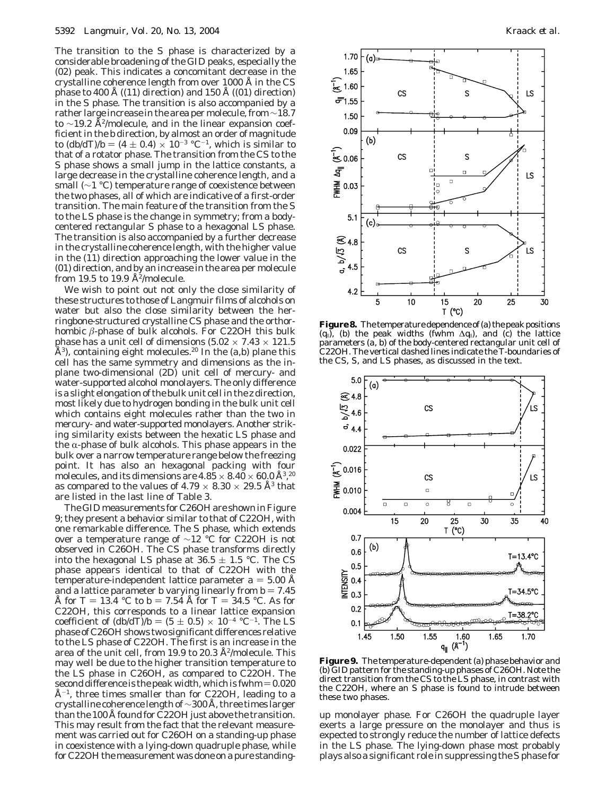The transition to the S phase is characterized by a considerable broadening of the GID peaks, especially the (02) peak. This indicates a concomitant decrease in the crystalline coherence length from over 1000 Å in the CS phase to 400 Å  $((11)$  direction) and 150 Å  $((01)$  direction) in the S phase. The transition is also accompanied by a rather large increase in the area per molecule, from ∼18.7 to ~19.2 Å<sup>2</sup>/molecule, and in the linear expansion coefficient in the *b* direction, by almost an order of magnitude to  $\left(\frac{d}{d\pi}\right)/b = (4 \pm 0.4) \times 10^{-3}$  °C<sup>-1</sup>, which is similar to that of a rotator phase. The transition from the CS to the S phase shows a small jump in the lattice constants, a large decrease in the crystalline coherence length, and a small (∼1 °C) temperature range of coexistence between the two phases, all of which are indicative of a first-order transition. The main feature of the transition from the S to the LS phase is the change in symmetry; from a bodycentered rectangular S phase to a hexagonal LS phase. The transition is also accompanied by a further decrease in the crystalline coherence length, with the higher value in the (11) direction approaching the lower value in the (01) direction, and by an increase in the area per molecule from 19.5 to 19.9  $\AA^2$ /molecule.

We wish to point out not only the close similarity of these structures to those of Langmuir films of alcohols on water but also the close similarity between the herringbone-structured crystalline CS phase and the orthorhombic *â*-phase of *bulk* alcohols. For C22OH this bulk phase has a unit cell of dimensions (5.02  $\times$  7.43  $\times$  121.5  $\AA$ <sup>3</sup>), containing eight molecules.<sup>20</sup> In the  $(a,b)$  plane this cell has the same symmetry and dimensions as the inplane two-dimensional (2D) unit cell of mercury- and water-supported alcohol monolayers. The only difference is a slight elongation of the bulk unit cell in the *z* direction, most likely due to hydrogen bonding in the bulk unit cell which contains eight molecules rather than the two in mercury- and water-supported monolayers. Another striking similarity exists between the hexatic LS phase and the  $\alpha$ -phase of bulk alcohols. This phase appears in the bulk over a narrow temperature range below the freezing point. It has also an hexagonal packing with four molecules, and its dimensions are  $4.85 \times 8.40 \times 60.0$  Å<sup>3, 20</sup> as compared to the values of  $4.79 \times 8.30 \times 29.5$  Å<sup>3</sup> that are listed in the last line of Table 3.

The GID measurements for C26OH are shown in Figure 9; they present a behavior similar to that of C22OH, with one remarkable difference. The S phase, which extends over a temperature range of ∼12 °C for C22OH is not observed in C26OH. The CS phase transforms directly into the hexagonal LS phase at  $36.5 \pm 1.5$  °C. The CS phase appears identical to that of C22OH with the temperature-independent lattice parameter  $a = 5.00$  Å and a lattice parameter *b* varying linearly from  $b = 7.45$ Å for  $T = 13.4$  °C to  $b = 7.54$  Å for  $T = 34.5$  °C. As for C22OH, this corresponds to a linear lattice expansion coefficient of  $\left(\frac{d}{d}\right)/b = (5 \pm 0.5) \times 10^{-4}$  °C<sup>-1</sup>. The LS phase of C26OH shows two significant differences relative to the LS phase of C22OH. The first is an increase in the area of the unit cell, from 19.9 to 20.3  $\AA^2$ /molecule. This may well be due to the higher transition temperature to the LS phase in C26OH, as compared to C22OH. The second difference is the peak width, which is fwhm $=0.020$  $A^{-1}$ , three times smaller than for C22OH, leading to a crystalline coherence length of ∼300 Å, three times larger than the 100 Å found for C22OH just above the transition. This may result from the fact that the relevant measurement was carried out for C26OH on a standing-up phase in coexistence with a lying-down quadruple phase, while for C22OH the measurement was done on a pure standing-



**Figure8.** The temperature dependence of (a) the peak positions (*q*|), (b) the peak widths (fwhm ∆*q*|), and (c) the lattice parameters (*a*, *b*) of the body-centered rectangular unit cell of C22OH. The vertical dashed lines indicate the T-boundaries of the CS, S, and LS phases, as discussed in the text.



**Figure 9.** The temperature-dependent (a) phase behavior and (b) GID pattern for the standing-up phases of C26OH. Note the direct transition from the CS to the LS phase, in contrast with the C22OH, where an S phase is found to intrude between these two phases.

up monolayer phase. For C26OH the quadruple layer exerts a large pressure on the monolayer and thus is expected to strongly reduce the number of lattice defects in the LS phase. The lying-down phase most probably plays also a significant role in suppressing the S phase for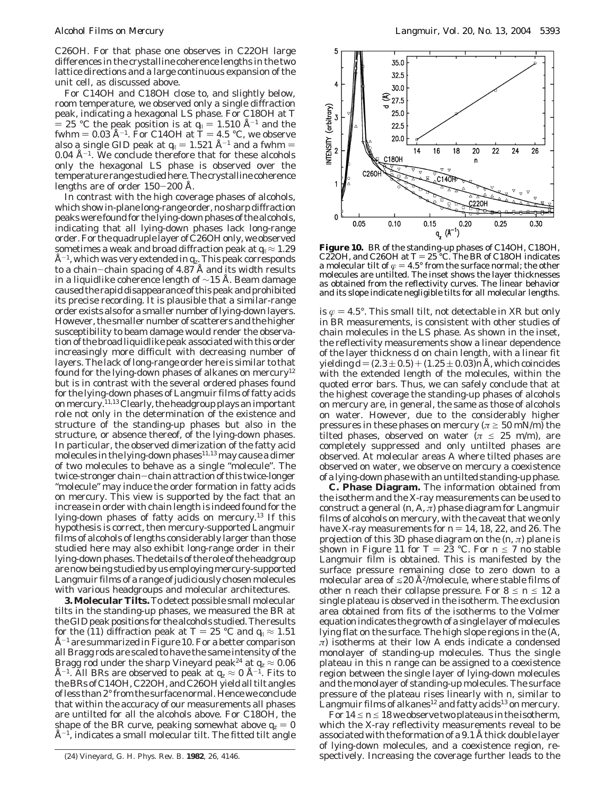C26OH. For that phase one observes in C22OH large differences in the crystalline coherence lengths in the two lattice directions and a large continuous expansion of the unit cell, as discussed above.

For C14OH and C18OH close to, and slightly below, room temperature, we observed only a single diffraction peak, indicating a hexagonal LS phase. For C18OH at *T*  $= 25$  °C the peak position is at  $q_{\parallel} = 1.510$  Å<sup>-1</sup> and the fwhm  $= 0.03$  Å<sup>-1</sup>. For C14OH at  $T = 4.5$  °C, we observe also a single GID peak at  $q_{\parallel} = 1.521 \text{ Å}^{-1}$  and a fwhm  $=$  $0.04$  Å<sup>-1</sup>. We conclude therefore that for these alcohols only the hexagonal LS phase is observed over the temperature range studied here. The crystalline coherence lengths are of order 150-200 Å.

In contrast with the high coverage phases of alcohols, which show in-plane long-range order, no sharp diffraction peaks were found for the lying-down phases of the alcohols, indicating that all lying-down phases lack long-range order. For the quadruple layer of C26OH only, we observed sometimes a weak and broad diffraction peak at  $q_{\parallel}$   $\approx$  1.29  $\rm \AA^{-1}$ , which was very extended in  $q_{z}$ . This peak corresponds to a chain-chain spacing of 4.87 Å and its width results in a liquidlike coherence length of ∼15 Å. Beam damage caused the rapid disappearance of this peak and prohibited its precise recording. It is plausible that a similar-range order exists also for a smaller number of lying-down layers. However, the smaller number of scatterers and the higher susceptibility to beam damage would render the observation of the broad liquidlike peak associated with this order increasingly more difficult with decreasing number of layers. The lack of long-range order here is similar to that found for the lying-down phases of alkanes on mercury<sup>12</sup> but is in contrast with the several ordered phases found for the lying-down phases of Langmuir films of fatty acids on mercury.11,13 Clearly, the headgroup plays an important role not only in the determination of the existence and structure of the standing-up phases but also in the structure, or absence thereof, of the lying-down phases. In particular, the observed dimerization of the fatty acid molecules in the lying-down phases $11,13$  may cause a dimer of two molecules to behave as a single "molecule". The twice-stronger chain-chain attraction of this twice-longer "molecule" may induce the order formation in fatty acids on mercury. This view is supported by the fact that an increase in order with chain length is indeed found for the lying-down phases of fatty acids on mercury.<sup>13</sup> If this hypothesis is correct, then mercury-supported Langmuir films of alcohols of lengths considerably larger than those studied here may also exhibit long-range order in their lying-down phases. The details of the role of the headgroup are now being studied by us employing mercury-supported Langmuir films of a range of judiciously chosen molecules with various headgroups and molecular architectures.

**3. Molecular Tilts.** To detect possible small molecular tilts in the standing-up phases, we measured the BR at the GID peak positions for the alcohols studied. The results for the (11) diffraction peak at  $T = 25$  °C and  $q_{\parallel} \approx 1.51$  $A^{-1}$  are summarized in Figure 10. For a better comparison all Bragg rods are scaled to have the same intensity of the Bragg rod under the sharp Vineyard peak<sup>24</sup> at  $q_z \approx 0.06$ Å<sup>-1</sup>. All BRs are observed to peak at  $q_z \approx 0$  Å<sup>-1</sup>. Fits to the BRs of C14OH, C22OH, and C26OH yield all tilt angles of less than 2° from the surface normal. Hence we conclude that within the accuracy of our measurements all phases are untilted for all the alcohols above. For C18OH, the shape of the BR curve, peaking somewhat above  $q_z = 0$  $\rm \AA^{-1}$ , indicates a small molecular tilt. The fitted tilt angle



**Figure 10.** BR of the standing-up phases of C14OH, C18OH, C22OH, and C26OH at  $T = 25$  °C. The BR of C18OH indicates a molecular tilt of  $\varphi = 4.5^{\circ}$  from the surface normal; the other molecules are untilted. The inset shows the layer thicknesses as obtained from the reflectivity curves. The linear behavior and its slope indicate negligible tilts for all molecular lengths.

is  $\varphi = 4.5^{\circ}$ . This small tilt, not detectable in XR but only in BR measurements, is consistent with other studies of chain molecules in the LS phase. As shown in the inset, the reflectivity measurements show a linear dependence of the layer thickness *d* on chain length, with a linear fit yielding  $d = (2.3 \pm 0.5) + (1.25 \pm 0.03)n$  Å, which coincides with the extended length of the molecules, within the quoted error bars. Thus, we can safely conclude that at the highest coverage the standing-up phases of alcohols on mercury are, in general, the same as those of alcohols on water. However, due to the considerably higher pressures in these phases on mercury ( $\pi \geq 50$  mN/m) the tilted phases, observed on water  $(\pi \leq 25 \text{ m/m})$ , are completely suppressed and only untilted phases are observed. At molecular areas *A* where tilted phases are observed on water, we observe on mercury a coexistence of a lying-down phase with an untilted standing-up phase.

**C. Phase Diagram.** The information obtained from the isotherm and the X-ray measurements can be used to construct a general (*n*, *A*, *π*) phase diagram for Langmuir films of alcohols on mercury, with the caveat that we only have X-ray measurements for  $n = 14$ , 18, 22, and 26. The projection of this 3D phase diagram on the (*n*, *π*) plane is shown in Figure 11 for  $T = 23$  °C. For  $n \le 7$  no stable Langmuir film is obtained. This is manifested by the surface pressure remaining close to zero down to a molecular area of  $\leq 20$  Å<sup>2</sup>/molecule, where stable films of other *n* reach their collapse pressure. For  $8 \le n \le 12$  a single plateau is observed in the isotherm. The exclusion area obtained from fits of the isotherms to the Volmer equation indicates the growth of a single layer of molecules lying flat on the surface. The high slope regions in the (*A*, *π*) isotherms at their low *A* ends indicate a condensed monolayer of standing-up molecules. Thus the single plateau in this *n* range can be assigned to a coexistence region between the single layer of lying-down molecules and the monolayer of standing-up molecules. The surface pressure of the plateau rises linearly with *n*, similar to Langmuir films of alkanes<sup>12</sup> and fatty acids<sup>13</sup> on mercury.

For  $14 \le n \le 18$  we observe two plateaus in the isotherm, which the X-ray reflectivity measurements reveal to be associated with the formation of a 9.1 Å thick double layer of lying-down molecules, and a coexistence region, re- (24) Vineyard, G. H. *Phys. Rev. B.* **1982**, *26*, 4146. spectively. Increasing the coverage further leads to the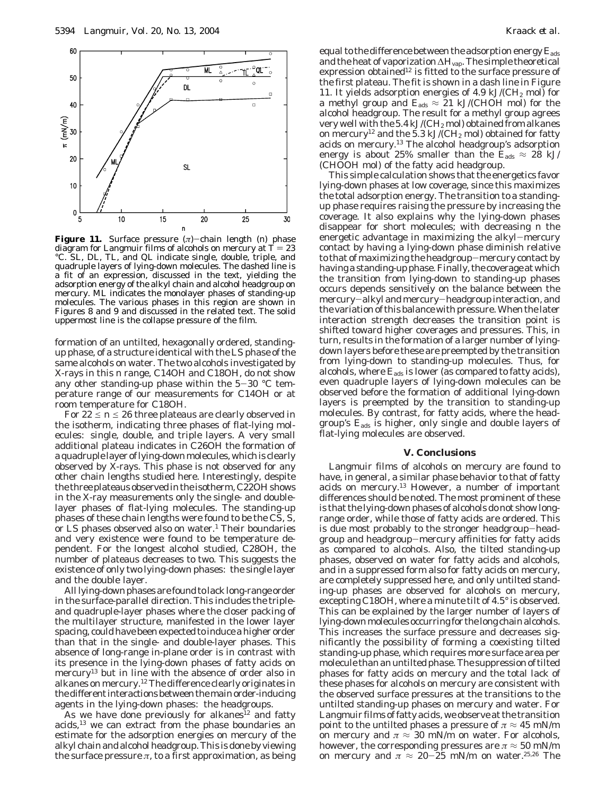60

50

40

 $\begin{pmatrix} E \\ E \end{pmatrix}$ 30





**Figure 11.** Surface pressure (*π*)-chain length (*n*) phase diagram for Langmuir films of alcohols on mercury at  $T = 23$ °C. SL, DL, TL, and QL indicate single, double, triple, and quadruple layers of lying-down molecules. The dashed line is a fit of an expression, discussed in the text, yielding the adsorption energy of the alkyl chain and alcohol headgroup on mercury. ML indicates the monolayer phases of standing-up molecules. The various phases in this region are shown in Figures 8 and 9 and discussed in the related text. The solid uppermost line is the collapse pressure of the film.

formation of an untilted, hexagonally ordered, standingup phase, of a structure identical with the LS phase of the same alcohols on water. The two alcohols investigated by X-rays in this *n* range, C14OH and C18OH, do not show any other standing-up phase within the  $5-30$  °C temperature range of our measurements for C14OH or at room temperature for C18OH.

For  $22 \le n \le 26$  three plateaus are clearly observed in the isotherm, indicating three phases of flat-lying molecules: single, double, and triple layers. A very small additional plateau indicates in C26OH the formation of a quadruple layer of lying-down molecules, which is clearly observed by X-rays. This phase is not observed for any other chain lengths studied here. Interestingly, despite the three plateaus observed in the isotherm, C22OH shows in the X-ray measurements only the single- and doublelayer phases of flat-lying molecules. The standing-up phases of these chain lengths were found to be the CS, S, or LS phases observed also on water.<sup>1</sup> Their boundaries and very existence were found to be temperature dependent. For the longest alcohol studied, C28OH, the number of plateaus decreases to two. This suggests the existence of only two lying-down phases: the single layer and the double layer.

All lying-down phases are found to lack long-range order in the surface-parallel direction. This includes the tripleand quadruple-layer phases where the closer packing of the multilayer structure, manifested in the lower layer spacing, could have been expected to induce a higher order than that in the single- and double-layer phases. This absence of long-range in-plane order is in contrast with its presence in the lying-down phases of fatty acids on mercury<sup>13</sup> but in line with the absence of order also in alkanes on mercury.<sup>12</sup> The difference clearly originates in the different interactions between the main order-inducing agents in the lying-down phases: the headgroups.

As we have done previously for alkanes<sup>12</sup> and fatty acids,13 we can extract from the phase boundaries an estimate for the adsorption energies on mercury of the alkyl chain and alcohol headgroup. This is done by viewing the surface pressure  $\pi$ , to a first approximation, as being

equal to the difference between the adsorption energy*E*ads and the heat of vaporization ∆*H*vap. The simple theoretical expression obtained<sup>12</sup> is fitted to the surface pressure of the first plateau. The fit is shown in a dash line in Figure 11. It yields adsorption energies of 4.9 kJ/( $CH<sub>2</sub>$  mol) for a methyl group and  $E_{ads} \approx 21$  kJ/(CHOH mol) for the alcohol headgroup. The result for a methyl group agrees very well with the  $5.4 \mathrm{kJ}$ /(CH<sub>2</sub> mol) obtained from alkanes on mercury<sup>12</sup> and the 5.3 kJ/(CH<sub>2</sub> mol) obtained for fatty acids on mercury.13 The alcohol headgroup's adsorption energy is about 25% smaller than the  $E_{ads} \approx 28$  kJ/ (CHOOH mol) of the fatty acid headgroup.

This simple calculation shows that the energetics favor lying-down phases at low coverage, since this maximizes the total adsorption energy. The transition to a standingup phase requires raising the pressure by increasing the coverage. It also explains why the lying-down phases disappear for short molecules; with decreasing *n* the energetic advantage in maximizing the alkyl-mercury contact by having a lying-down phase diminish relative to that of maximizing the headgroup-mercury contact by having a standing-up phase. Finally, the coverage at which the transition from lying-down to standing-up phases occurs depends sensitively on the balance between the mercury-alkyl and mercury-headgroup interaction, and the variation of this balance with pressure. When the later interaction strength decreases the transition point is shifted toward higher coverages and pressures. This, in turn, results in the formation of a larger number of lyingdown layers before these are preempted by the transition from lying-down to standing-up molecules. Thus, for alcohols, where  $E_{ads}$  is lower (as compared to fatty acids), even quadruple layers of lying-down molecules can be observed before the formation of additional lying-down layers is preempted by the transition to standing-up molecules. By contrast, for fatty acids, where the headgroup's *E*ads is higher, only single and double layers of flat-lying molecules are observed.

#### **V. Conclusions**

Langmuir films of alcohols on mercury are found to have, in general, a similar phase behavior to that of fatty acids on mercury.13 However, a number of important differences should be noted. The most prominent of these is that the lying-down phases of alcohols do not show longrange order, while those of fatty acids are ordered. This is due most probably to the stronger headgroup-headgroup and headgroup-mercury affinities for fatty acids as compared to alcohols. Also, the tilted standing-up phases, observed on water for fatty acids and alcohols, and in a suppressed form also for fatty acids on mercury, are completely suppressed here, and only untilted standing-up phases are observed for alcohols on mercury, excepting C18OH, where a minute tilt of 4.5° is observed. This can be explained by the larger number of layers of lying-down molecules occurring for the long chain alcohols. This increases the surface pressure and decreases significantly the possibility of forming a coexisting tilted standing-up phase, which requires more surface area per molecule than an untilted phase. The suppression of tilted phases for fatty acids on mercury and the total lack of these phases for alcohols on mercury are consistent with the observed surface pressures at the transitions to the untilted standing-up phases on mercury and water. For Langmuir films of fatty acids, we observe at the transition point to the untilted phases a pressure of  $\pi \approx 45$  mN/m on mercury and  $\pi \approx 30$  mN/m on water. For alcohols, however, the corresponding pressures are  $\pi \approx 50$  mN/m on mercury and  $\pi \approx 20-25$  mN/m on water.<sup>25,26</sup> The